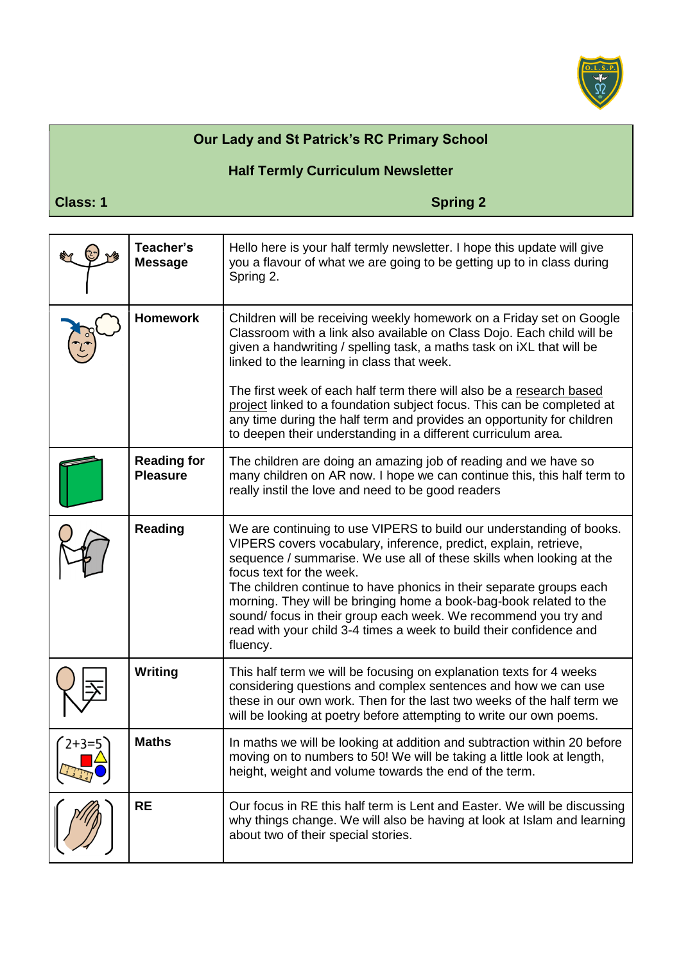

## **Our Lady and St Patrick's RC Primary School**

## **Half Termly Curriculum Newsletter**

**Class: 1** Spring 2

|         | Teacher's<br><b>Message</b>           | Hello here is your half termly newsletter. I hope this update will give<br>you a flavour of what we are going to be getting up to in class during<br>Spring 2.                                                                                                                                                                                                                                                                                                                                                                                  |
|---------|---------------------------------------|-------------------------------------------------------------------------------------------------------------------------------------------------------------------------------------------------------------------------------------------------------------------------------------------------------------------------------------------------------------------------------------------------------------------------------------------------------------------------------------------------------------------------------------------------|
|         | <b>Homework</b>                       | Children will be receiving weekly homework on a Friday set on Google<br>Classroom with a link also available on Class Dojo. Each child will be<br>given a handwriting / spelling task, a maths task on iXL that will be<br>linked to the learning in class that week.                                                                                                                                                                                                                                                                           |
|         |                                       | The first week of each half term there will also be a research based<br>project linked to a foundation subject focus. This can be completed at<br>any time during the half term and provides an opportunity for children<br>to deepen their understanding in a different curriculum area.                                                                                                                                                                                                                                                       |
|         | <b>Reading for</b><br><b>Pleasure</b> | The children are doing an amazing job of reading and we have so<br>many children on AR now. I hope we can continue this, this half term to<br>really instil the love and need to be good readers                                                                                                                                                                                                                                                                                                                                                |
|         | <b>Reading</b>                        | We are continuing to use VIPERS to build our understanding of books.<br>VIPERS covers vocabulary, inference, predict, explain, retrieve,<br>sequence / summarise. We use all of these skills when looking at the<br>focus text for the week.<br>The children continue to have phonics in their separate groups each<br>morning. They will be bringing home a book-bag-book related to the<br>sound/ focus in their group each week. We recommend you try and<br>read with your child 3-4 times a week to build their confidence and<br>fluency. |
|         | Writing                               | This half term we will be focusing on explanation texts for 4 weeks<br>considering questions and complex sentences and how we can use<br>these in our own work. Then for the last two weeks of the half term we<br>will be looking at poetry before attempting to write our own poems.                                                                                                                                                                                                                                                          |
| $2+3=5$ | <b>Maths</b>                          | In maths we will be looking at addition and subtraction within 20 before<br>moving on to numbers to 50! We will be taking a little look at length,<br>height, weight and volume towards the end of the term.                                                                                                                                                                                                                                                                                                                                    |
|         | <b>RE</b>                             | Our focus in RE this half term is Lent and Easter. We will be discussing<br>why things change. We will also be having at look at Islam and learning<br>about two of their special stories.                                                                                                                                                                                                                                                                                                                                                      |